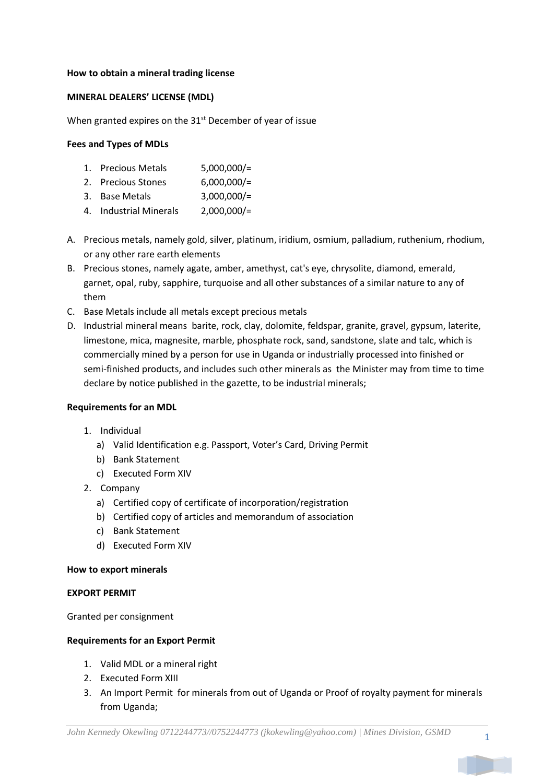## **How to obtain a mineral trading license**

# **MINERAL DEALERS' LICENSE (MDL)**

When granted expires on the 31<sup>st</sup> December of year of issue

## **Fees and Types of MDLs**

- 1. Precious Metals 5,000,000/=
- 2. Precious Stones 6,000,000/=
- 3. Base Metals 3,000,000/=
- 4. Industrial Minerals 2,000,000/=
- A. Precious metals, namely gold, silver, platinum, iridium, osmium, palladium, ruthenium, rhodium, or any other rare earth elements
- B. Precious stones, namely agate, amber, amethyst, cat's eye, chrysolite, diamond, emerald, garnet, opal, ruby, sapphire, turquoise and all other substances of a similar nature to any of them
- C. Base Metals include all metals except precious metals
- D. Industrial mineral means barite, rock, clay, dolomite, feldspar, granite, gravel, gypsum, laterite, limestone, mica, magnesite, marble, phosphate rock, sand, sandstone, slate and talc, which is commercially mined by a person for use in Uganda or industrially processed into finished or semi-finished products, and includes such other minerals as the Minister may from time to time declare by notice published in the gazette, to be industrial minerals;

#### **Requirements for an MDL**

- 1. Individual
	- a) Valid Identification e.g. Passport, Voter's Card, Driving Permit
	- b) Bank Statement
	- c) Executed Form XIV
- 2. Company
	- a) Certified copy of certificate of incorporation/registration
	- b) Certified copy of articles and memorandum of association
	- c) Bank Statement
	- d) Executed Form XIV

#### **How to export minerals**

#### **EXPORT PERMIT**

Granted per consignment

#### **Requirements for an Export Permit**

- 1. Valid MDL or a mineral right
- 2. Executed Form XIII
- 3. An Import Permit for minerals from out of Uganda or Proof of royalty payment for minerals from Uganda;